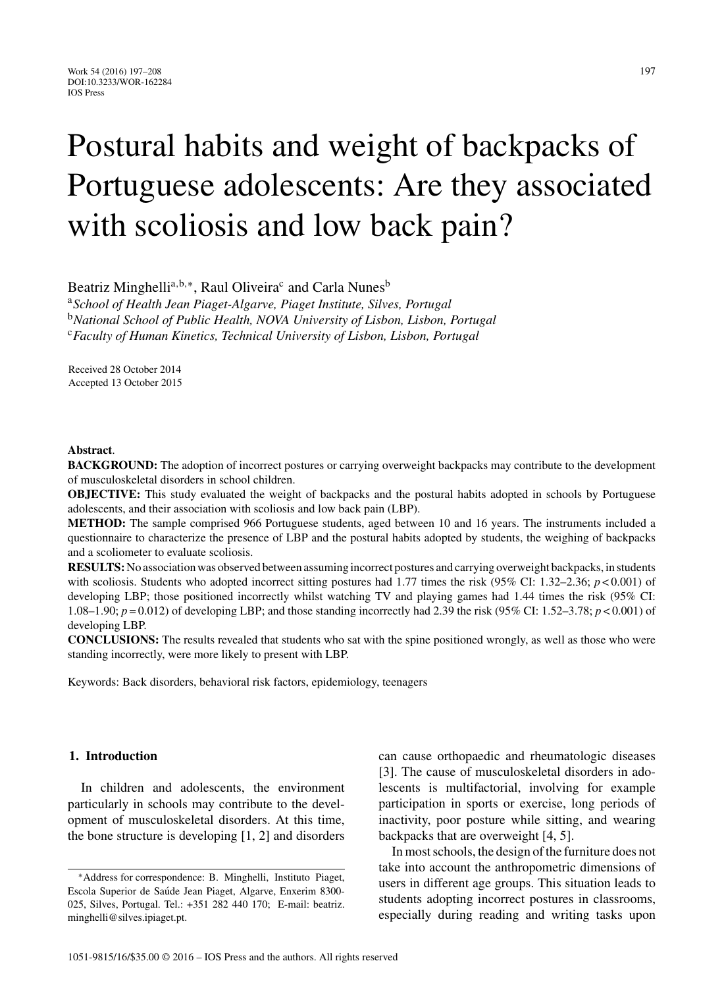# Postural habits and weight of backpacks of Portuguese adolescents: Are they associated with scoliosis and low back pain?

Beatriz Minghelli<sup>a,b,∗</sup>, Raul Oliveira<sup>c</sup> and Carla Nunes<sup>b</sup>

<sup>a</sup>*School of Health Jean Piaget-Algarve, Piaget Institute, Silves, Portugal* <sup>b</sup>*National School of Public Health, NOVA University of Lisbon, Lisbon, Portugal* <sup>c</sup>*Faculty of Human Kinetics, Technical University of Lisbon, Lisbon, Portugal*

Received 28 October 2014 Accepted 13 October 2015

# **Abstract**.

**BACKGROUND:** The adoption of incorrect postures or carrying overweight backpacks may contribute to the development of musculoskeletal disorders in school children.

**OBJECTIVE:** This study evaluated the weight of backpacks and the postural habits adopted in schools by Portuguese adolescents, and their association with scoliosis and low back pain (LBP).

**METHOD:** The sample comprised 966 Portuguese students, aged between 10 and 16 years. The instruments included a questionnaire to characterize the presence of LBP and the postural habits adopted by students, the weighing of backpacks and a scoliometer to evaluate scoliosis.

**RESULTS:**No association was observed between assuming incorrect postures and carrying overweight backpacks, in students with scoliosis. Students who adopted incorrect sitting postures had 1.77 times the risk (95% CI: 1.32–2.36; *p* < 0.001) of developing LBP; those positioned incorrectly whilst watching TV and playing games had 1.44 times the risk (95% CI: 1.08–1.90; *p* = 0.012) of developing LBP; and those standing incorrectly had 2.39 the risk (95% CI: 1.52–3.78; *p* < 0.001) of developing LBP.

**CONCLUSIONS:** The results revealed that students who sat with the spine positioned wrongly, as well as those who were standing incorrectly, were more likely to present with LBP.

Keywords: Back disorders, behavioral risk factors, epidemiology, teenagers

# **1. Introduction**

In children and adolescents, the environment particularly in schools may contribute to the development of musculoskeletal disorders. At this time, the bone structure is developing [1, 2] and disorders

can cause orthopaedic and rheumatologic diseases [3]. The cause of musculoskeletal disorders in adolescents is multifactorial, involving for example participation in sports or exercise, long periods of inactivity, poor posture while sitting, and wearing backpacks that are overweight [4, 5].

In most schools, the design of the furniture does not take into account the anthropometric dimensions of users in different age groups. This situation leads to [students adoptin](mailto:beatriz.penalty -@M minghelli@silves.ipiaget.pt)g incorrect postures in classrooms, especially during reading and writing tasks upon

<sup>∗</sup>Address for correspondence: B. Minghelli, Instituto Piaget, Escola Superior de Saúde Jean Piaget, Algarve, Enxerim 8300-025, Silves, Portugal. Tel.: +351 282 440 170; E-mail: beatriz. minghelli@silves.ipiaget.pt.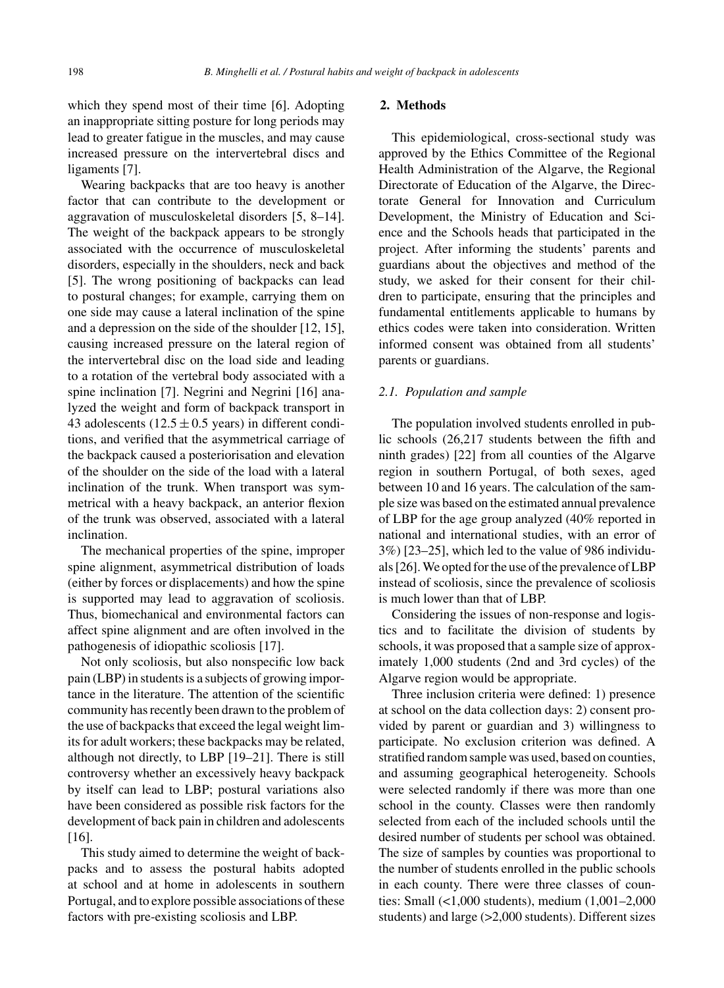which they spend most of their time [6]. Adopting an inappropriate sitting posture for long periods may lead to greater fatigue in the muscles, and may cause increased pressure on the intervertebral discs and ligaments [7].

Wearing backpacks that are too heavy is another factor that can contribute to the development or aggravation of musculoskeletal disorders [5, 8–14]. The weight of the backpack appears to be strongly associated with the occurrence of musculoskeletal disorders, especially in the shoulders, neck and back [5]. The wrong positioning of backpacks can lead to postural changes; for example, carrying them on one side may cause a lateral inclination of the spine and a depression on the side of the shoulder [12, 15], causing increased pressure on the lateral region of the intervertebral disc on the load side and leading to a rotation of the vertebral body associated with a spine inclination [7]. Negrini and Negrini [16] analyzed the weight and form of backpack transport in 43 adolescents (12.5  $\pm$  0.5 years) in different conditions, and verified that the asymmetrical carriage of the backpack caused a posteriorisation and elevation of the shoulder on the side of the load with a lateral inclination of the trunk. When transport was symmetrical with a heavy backpack, an anterior flexion of the trunk was observed, associated with a lateral inclination.

The mechanical properties of the spine, improper spine alignment, asymmetrical distribution of loads (either by forces or displacements) and how the spine is supported may lead to aggravation of scoliosis. Thus, biomechanical and environmental factors can affect spine alignment and are often involved in the pathogenesis of idiopathic scoliosis [17].

Not only scoliosis, but also nonspecific low back pain (LBP) in students is a subjects of growing importance in the literature. The attention of the scientific community has recently been drawn to the problem of the use of backpacks that exceed the legal weight limits for adult workers; these backpacks may be related, although not directly, to LBP [19–21]. There is still controversy whether an excessively heavy backpack by itself can lead to LBP; postural variations also have been considered as possible risk factors for the development of back pain in children and adolescents [16].

This study aimed to determine the weight of backpacks and to assess the postural habits adopted at school and at home in adolescents in southern Portugal, and to explore possible associations of these factors with pre-existing scoliosis and LBP.

# **2. Methods**

This epidemiological, cross-sectional study was approved by the Ethics Committee of the Regional Health Administration of the Algarve, the Regional Directorate of Education of the Algarve, the Directorate General for Innovation and Curriculum Development, the Ministry of Education and Science and the Schools heads that participated in the project. After informing the students' parents and guardians about the objectives and method of the study, we asked for their consent for their children to participate, ensuring that the principles and fundamental entitlements applicable to humans by ethics codes were taken into consideration. Written informed consent was obtained from all students' parents or guardians.

#### *2.1. Population and sample*

The population involved students enrolled in public schools (26,217 students between the fifth and ninth grades) [22] from all counties of the Algarve region in southern Portugal, of both sexes, aged between 10 and 16 years. The calculation of the sample size was based on the estimated annual prevalence of LBP for the age group analyzed (40% reported in national and international studies, with an error of 3%) [23–25], which led to the value of 986 individuals [26]. We opted for the use of the prevalence of LBP instead of scoliosis, since the prevalence of scoliosis is much lower than that of LBP.

Considering the issues of non-response and logistics and to facilitate the division of students by schools, it was proposed that a sample size of approximately 1,000 students (2nd and 3rd cycles) of the Algarve region would be appropriate.

Three inclusion criteria were defined: 1) presence at school on the data collection days: 2) consent provided by parent or guardian and 3) willingness to participate. No exclusion criterion was defined. A stratified random sample was used, based on counties, and assuming geographical heterogeneity. Schools were selected randomly if there was more than one school in the county. Classes were then randomly selected from each of the included schools until the desired number of students per school was obtained. The size of samples by counties was proportional to the number of students enrolled in the public schools in each county. There were three classes of counties: Small (<1,000 students), medium (1,001–2,000 students) and large (>2,000 students). Different sizes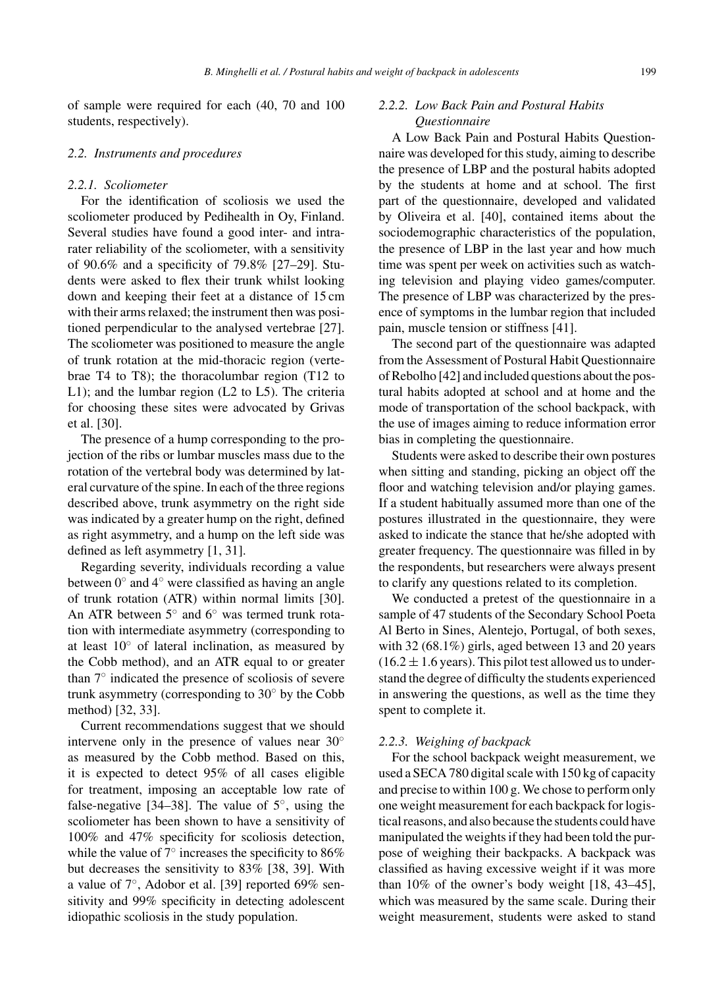of sample were required for each (40, 70 and 100 students, respectively).

#### *2.2. Instruments and procedures*

# *2.2.1. Scoliometer*

For the identification of scoliosis we used the scoliometer produced by Pedihealth in Oy, Finland. Several studies have found a good inter- and intrarater reliability of the scoliometer, with a sensitivity of 90.6% and a specificity of 79.8% [27–29]. Students were asked to flex their trunk whilst looking down and keeping their feet at a distance of 15 cm with their arms relaxed; the instrument then was positioned perpendicular to the analysed vertebrae [27]. The scoliometer was positioned to measure the angle of trunk rotation at the mid-thoracic region (vertebrae T4 to T8); the thoracolumbar region (T12 to L1); and the lumbar region (L2 to L5). The criteria for choosing these sites were advocated by Grivas et al. [30].

The presence of a hump corresponding to the projection of the ribs or lumbar muscles mass due to the rotation of the vertebral body was determined by lateral curvature of the spine. In each of the three regions described above, trunk asymmetry on the right side was indicated by a greater hump on the right, defined as right asymmetry, and a hump on the left side was defined as left asymmetry [1, 31].

Regarding severity, individuals recording a value between 0◦ and 4◦ were classified as having an angle of trunk rotation (ATR) within normal limits [30]. An ATR between 5◦ and 6◦ was termed trunk rotation with intermediate asymmetry (corresponding to at least  $10°$  of lateral inclination, as measured by the Cobb method), and an ATR equal to or greater than 7◦ indicated the presence of scoliosis of severe trunk asymmetry (corresponding to 30◦ by the Cobb method) [32, 33].

Current recommendations suggest that we should intervene only in the presence of values near 30◦ as measured by the Cobb method. Based on this, it is expected to detect 95% of all cases eligible for treatment, imposing an acceptable low rate of false-negative [34–38]. The value of  $5^\circ$ , using the scoliometer has been shown to have a sensitivity of 100% and 47% specificity for scoliosis detection, while the value of  $7^\circ$  increases the specificity to 86% but decreases the sensitivity to 83% [38, 39]. With a value of 7◦, Adobor et al. [39] reported 69% sensitivity and 99% specificity in detecting adolescent idiopathic scoliosis in the study population.

# *2.2.2. Low Back Pain and Postural Habits Questionnaire*

A Low Back Pain and Postural Habits Questionnaire was developed for this study, aiming to describe the presence of LBP and the postural habits adopted by the students at home and at school. The first part of the questionnaire, developed and validated by Oliveira et al. [40], contained items about the sociodemographic characteristics of the population, the presence of LBP in the last year and how much time was spent per week on activities such as watching television and playing video games/computer. The presence of LBP was characterized by the presence of symptoms in the lumbar region that included pain, muscle tension or stiffness [41].

The second part of the questionnaire was adapted from the Assessment of Postural Habit Questionnaire of Rebolho [42] and included questions about the postural habits adopted at school and at home and the mode of transportation of the school backpack, with the use of images aiming to reduce information error bias in completing the questionnaire.

Students were asked to describe their own postures when sitting and standing, picking an object off the floor and watching television and/or playing games. If a student habitually assumed more than one of the postures illustrated in the questionnaire, they were asked to indicate the stance that he/she adopted with greater frequency. The questionnaire was filled in by the respondents, but researchers were always present to clarify any questions related to its completion.

We conducted a pretest of the questionnaire in a sample of 47 students of the Secondary School Poeta Al Berto in Sines, Alentejo, Portugal, of both sexes, with 32 (68.1%) girls, aged between 13 and 20 years  $(16.2 \pm 1.6 \text{ years})$ . This pilot test allowed us to understand the degree of difficulty the students experienced in answering the questions, as well as the time they spent to complete it.

#### *2.2.3. Weighing of backpack*

For the school backpack weight measurement, we used a SECA 780 digital scale with 150 kg of capacity and precise to within 100 g. We chose to perform only one weight measurement for each backpack for logistical reasons, and also because the students could have manipulated the weights if they had been told the purpose of weighing their backpacks. A backpack was classified as having excessive weight if it was more than 10% of the owner's body weight [18, 43–45], which was measured by the same scale. During their weight measurement, students were asked to stand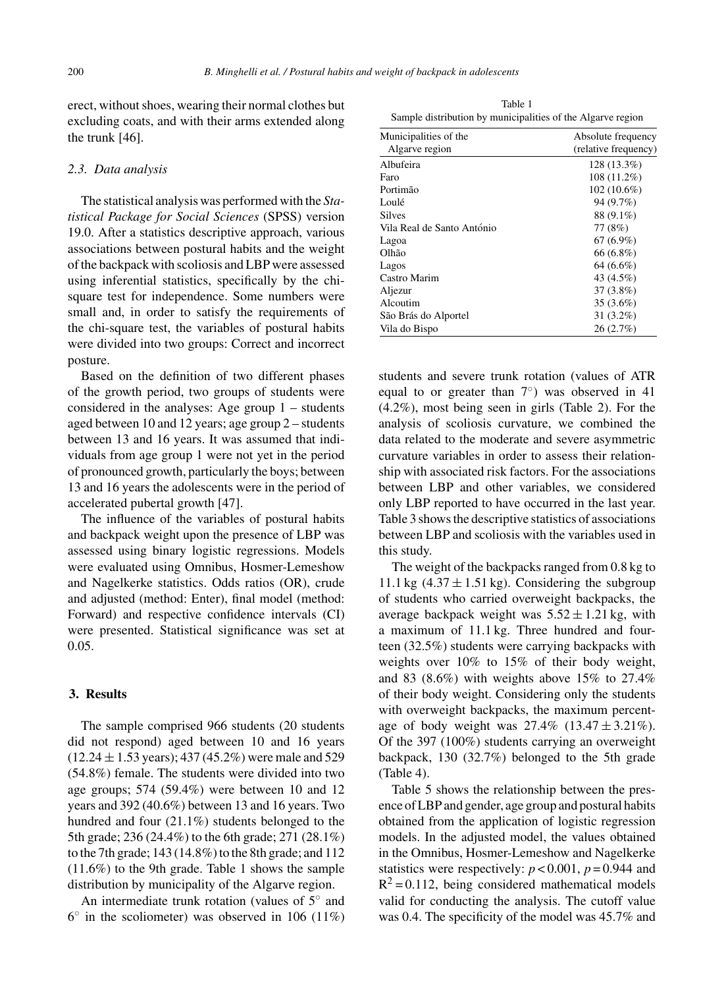erect, without shoes, wearing their normal clothes but excluding coats, and with their arms extended along the trunk [46].

#### *2.3. Data analysis*

The statistical analysis was performed with the *Statistical Package for Social Sciences* (SPSS) version 19.0. After a statistics descriptive approach, various associations between postural habits and the weight of the backpack with scoliosis and LBP were assessed using inferential statistics, specifically by the chisquare test for independence. Some numbers were small and, in order to satisfy the requirements of the chi-square test, the variables of postural habits were divided into two groups: Correct and incorrect posture.

Based on the definition of two different phases of the growth period, two groups of students were considered in the analyses: Age group 1 – students aged between 10 and 12 years; age group 2 – students between 13 and 16 years. It was assumed that individuals from age group 1 were not yet in the period of pronounced growth, particularly the boys; between 13 and 16 years the adolescents were in the period of accelerated pubertal growth [47].

The influence of the variables of postural habits and backpack weight upon the presence of LBP was assessed using binary logistic regressions. Models were evaluated using Omnibus, Hosmer-Lemeshow and Nagelkerke statistics. Odds ratios (OR), crude and adjusted (method: Enter), final model (method: Forward) and respective confidence intervals (CI) were presented. Statistical significance was set at 0.05.

# **3. Results**

The sample comprised 966 students (20 students did not respond) aged between 10 and 16 years  $(12.24 \pm 1.53 \text{ years})$ ; 437 (45.2%) were male and 529 (54.8%) female. The students were divided into two age groups; 574 (59.4%) were between 10 and 12 years and 392 (40.6%) between 13 and 16 years. Two hundred and four (21.1%) students belonged to the 5th grade; 236 (24.4%) to the 6th grade; 271 (28.1%) to the 7th grade; 143 (14.8%) to the 8th grade; and 112 (11.6%) to the 9th grade. Table 1 shows the sample distribution by municipality of the Algarve region.

An intermediate trunk rotation (values of 5◦ and  $6°$  in the scoliometer) was observed in 106 (11%)

Table 1 Sample distribution by municipalities of the Algarve region

| Municipalities of the      | Absolute frequency   |
|----------------------------|----------------------|
| Algarve region             | (relative frequency) |
| Albufeira                  | 128 (13.3%)          |
| Faro                       | $108(11.2\%)$        |
| Portimão                   | $102(10.6\%)$        |
| Loulé                      | 94 (9.7%)            |
| <b>Silves</b>              | 88 (9.1%)            |
| Vila Real de Santo António | 77 (8%)              |
| Lagoa                      | $67(6.9\%)$          |
| Olhão                      | 66 (6.8%)            |
| Lagos                      | 64 (6.6%)            |
| Castro Marim               | 43 (4.5%)            |
| Aljezur                    | $37(3.8\%)$          |
| Alcoutim                   | $35(3.6\%)$          |
| São Brás do Alportel       | $31(3.2\%)$          |
| Vila do Bispo              | 26(2.7%)             |

students and severe trunk rotation (values of ATR equal to or greater than  $7°$ ) was observed in 41 (4.2%), most being seen in girls (Table 2). For the analysis of scoliosis curvature, we combined the data related to the moderate and severe asymmetric curvature variables in order to assess their relationship with associated risk factors. For the associations between LBP and other variables, we considered only LBP reported to have occurred in the last year. Table 3 shows the descriptive statistics of associations between LBP and scoliosis with the variables used in this study.

The weight of the backpacks ranged from 0.8 kg to 11.1 kg  $(4.37 \pm 1.51 \text{ kg})$ . Considering the subgroup of students who carried overweight backpacks, the average backpack weight was  $5.52 \pm 1.21$  kg, with a maximum of 11.1 kg. Three hundred and fourteen (32.5%) students were carrying backpacks with weights over 10% to 15% of their body weight, and 83 (8.6%) with weights above 15% to 27.4% of their body weight. Considering only the students with overweight backpacks, the maximum percentage of body weight was  $27.4\%$   $(13.47 \pm 3.21\%)$ . Of the 397 (100%) students carrying an overweight backpack, 130 (32.7%) belonged to the 5th grade (Table 4).

Table 5 shows the relationship between the presence of LBP and gender, age group and postural habits obtained from the application of logistic regression models. In the adjusted model, the values obtained in the Omnibus, Hosmer-Lemeshow and Nagelkerke statistics were respectively:  $p < 0.001$ ,  $p = 0.944$  and  $R^2$  = 0.112, being considered mathematical models valid for conducting the analysis. The cutoff value was 0.4. The specificity of the model was 45.7% and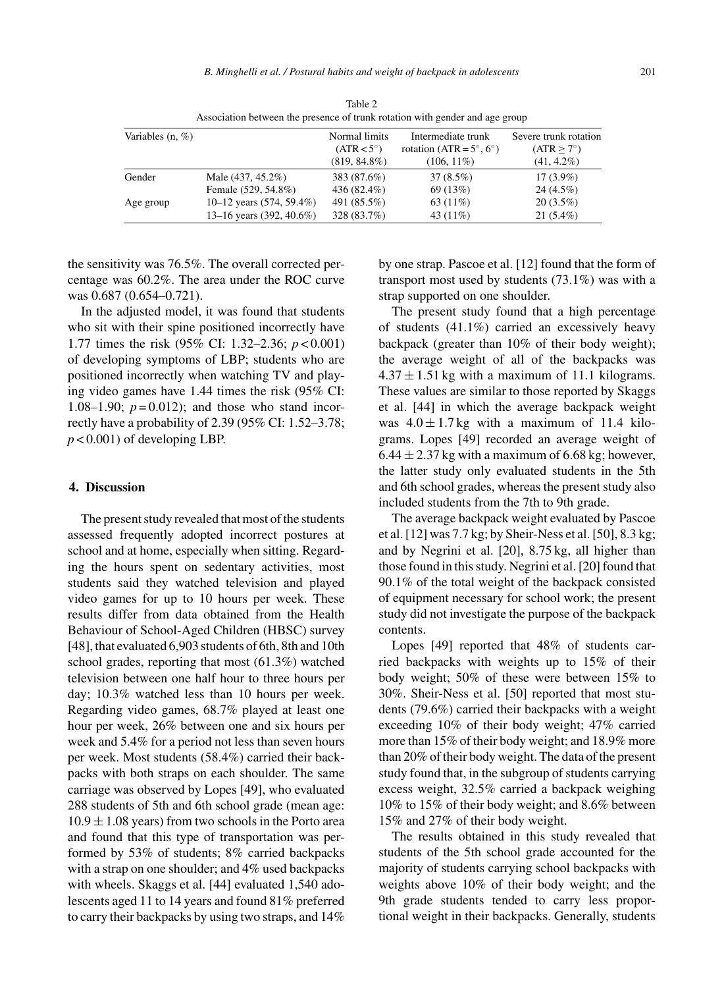| Variables $(n, \%)$ |                             | Normal limits<br>$(ATR < 5^{\circ})$ | Intermediate trunk<br>rotation (ATR = $5^\circ$ , $6^\circ$ ) | Severe trunk rotation<br>$(ATR > 7^\circ)$ |
|---------------------|-----------------------------|--------------------------------------|---------------------------------------------------------------|--------------------------------------------|
|                     |                             | $(819, 84.8\%)$                      | $(106, 11\%)$                                                 | $(41, 4.2\%)$                              |
| Gender              | Male (437, 45.2%)           | 383 (87.6%)                          | $37(8.5\%)$                                                   | $17(3.9\%)$                                |
|                     | Female (529, 54.8%)         | 436 (82.4%)                          | 69 (13%)                                                      | $24(4.5\%)$                                |
| Age group           | 10–12 years $(574, 59.4\%)$ | 491 (85.5%)                          | 63 $(11\%)$                                                   | $20(3.5\%)$                                |
|                     | 13–16 years (392, 40.6%)    | 328 (83.7%)                          | 43 $(11\%)$                                                   | $21(5.4\%)$                                |

Table 2 Association between the presence of trunk rotation with gender and age group

the sensitivity was 76.5%. The overall corrected percentage was 60.2%. The area under the ROC curve was 0.687 (0.654–0.721).

In the adjusted model, it was found that students who sit with their spine positioned incorrectly have 1.77 times the risk (95% CI: 1.32–2.36; *p* < 0.001) of developing symptoms of LBP; students who are positioned incorrectly when watching TV and playing video games have 1.44 times the risk (95% CI: 1.08–1.90;  $p = 0.012$ ; and those who stand incorrectly have a probability of 2.39 (95% CI: 1.52–3.78;  $p < 0.001$ ) of developing LBP.

# **4. Discussion**

The present study revealed that most of the students assessed frequently adopted incorrect postures at school and at home, especially when sitting. Regarding the hours spent on sedentary activities, most students said they watched television and played video games for up to 10 hours per week. These results differ from data obtained from the Health Behaviour of School-Aged Children (HBSC) survey [48], that evaluated 6,903 students of 6th, 8th and 10th school grades, reporting that most (61.3%) watched television between one half hour to three hours per day; 10.3% watched less than 10 hours per week. Regarding video games, 68.7% played at least one hour per week, 26% between one and six hours per week and 5.4% for a period not less than seven hours per week. Most students (58.4%) carried their backpacks with both straps on each shoulder. The same carriage was observed by Lopes [49], who evaluated 288 students of 5th and 6th school grade (mean age:  $10.9 \pm 1.08$  years) from two schools in the Porto area and found that this type of transportation was performed by 53% of students; 8% carried backpacks with a strap on one shoulder; and 4% used backpacks with wheels. Skaggs et al. [44] evaluated 1,540 adolescents aged 11 to 14 years and found 81% preferred to carry their backpacks by using two straps, and 14%

by one strap. Pascoe et al. [12] found that the form of transport most used by students (73.1%) was with a strap supported on one shoulder.

The present study found that a high percentage of students (41.1%) carried an excessively heavy backpack (greater than 10% of their body weight); the average weight of all of the backpacks was  $4.37 \pm 1.51$  kg with a maximum of 11.1 kilograms. These values are similar to those reported by Skaggs et al. [44] in which the average backpack weight was  $4.0 \pm 1.7$  kg with a maximum of 11.4 kilograms. Lopes [49] recorded an average weight of  $6.44 \pm 2.37$  kg with a maximum of 6.68 kg; however, the latter study only evaluated students in the 5th and 6th school grades, whereas the present study also included students from the 7th to 9th grade.

The average backpack weight evaluated by Pascoe et al. [12] was 7.7 kg; by Sheir-Ness et al. [50], 8.3 kg; and by Negrini et al. [20], 8.75 kg, all higher than those found in this study. Negrini et al. [20] found that 90.1% of the total weight of the backpack consisted of equipment necessary for school work; the present study did not investigate the purpose of the backpack contents.

Lopes [49] reported that 48% of students carried backpacks with weights up to 15% of their body weight; 50% of these were between 15% to 30%. Sheir-Ness et al. [50] reported that most students (79.6%) carried their backpacks with a weight exceeding 10% of their body weight; 47% carried more than 15% of their body weight; and 18.9% more than 20% of their body weight. The data of the present study found that, in the subgroup of students carrying excess weight, 32.5% carried a backpack weighing 10% to 15% of their body weight; and 8.6% between 15% and 27% of their body weight.

The results obtained in this study revealed that students of the 5th school grade accounted for the majority of students carrying school backpacks with weights above 10% of their body weight; and the 9th grade students tended to carry less proportional weight in their backpacks. Generally, students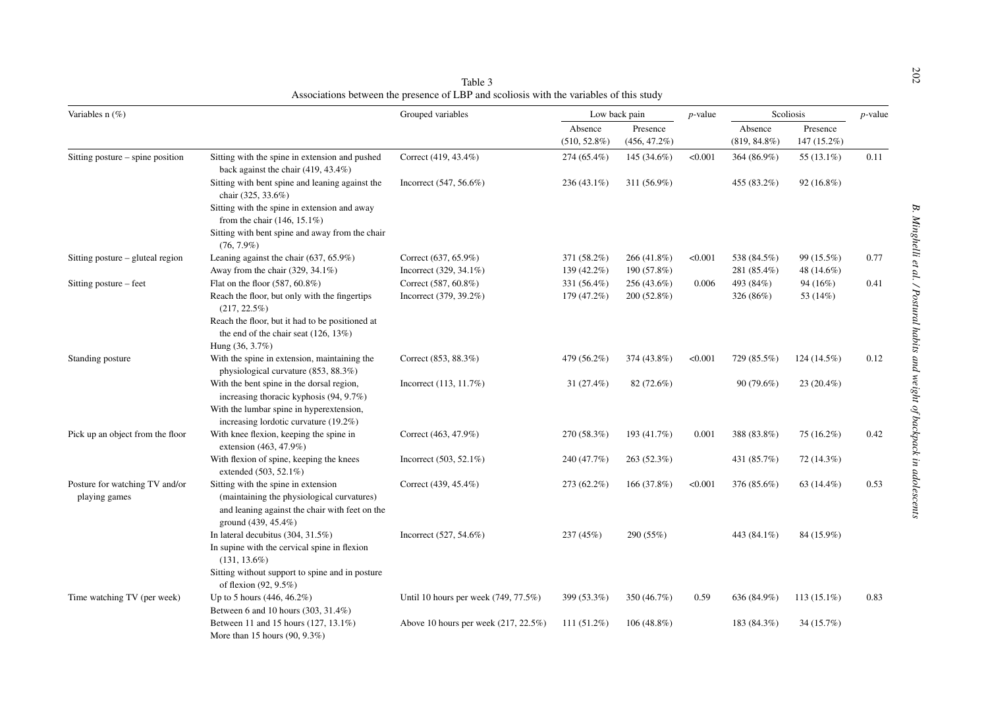| Variables n (%)                                 |                                                                                                                                                            | Grouped variables                    | Low back pain               |               | $p$ -value                 | Scoliosis               |               | $p$ -value |
|-------------------------------------------------|------------------------------------------------------------------------------------------------------------------------------------------------------------|--------------------------------------|-----------------------------|---------------|----------------------------|-------------------------|---------------|------------|
|                                                 |                                                                                                                                                            | Absence<br>$(510, 52.8\%)$           | Presence<br>$(456, 47.2\%)$ |               | Absence<br>$(819, 84.8\%)$ | Presence<br>147 (15.2%) |               |            |
| Sitting posture – spine position                | Sitting with the spine in extension and pushed<br>back against the chair (419, 43.4%)                                                                      | Correct (419, 43.4%)                 | 274 (65.4%)                 | 145 (34.6%)   | < 0.001                    | 364 (86.9%)             | 55 (13.1%)    | 0.11       |
|                                                 | Sitting with bent spine and leaning against the<br>chair (325, 33.6%)<br>Sitting with the spine in extension and away                                      | Incorrect $(547, 56.6\%)$            | 236 (43.1%)                 | 311 (56.9%)   |                            | 455 (83.2%)             | $92(16.8\%)$  |            |
|                                                 | from the chair $(146, 15.1\%)$                                                                                                                             |                                      |                             |               |                            |                         |               |            |
|                                                 | Sitting with bent spine and away from the chair<br>$(76, 7.9\%)$                                                                                           |                                      |                             |               |                            |                         |               |            |
| Sitting posture – gluteal region                | Leaning against the chair $(637, 65.9\%)$                                                                                                                  | Correct (637, 65.9%)                 | 371 (58.2%)                 | $266(41.8\%)$ | < 0.001                    | 538 (84.5%)             | 99 (15.5%)    | 0.77       |
|                                                 | Away from the chair $(329, 34.1\%)$                                                                                                                        | Incorrect (329, 34.1%)               | 139 (42.2%)                 | 190 (57.8%)   |                            | 281 (85.4%)             | 48 (14.6%)    |            |
| Sitting posture - feet                          | Flat on the floor (587, 60.8%)                                                                                                                             | Correct (587, 60.8%)                 | 331 (56.4%)                 | 256 (43.6%)   | 0.006                      | 493 (84%)               | 94 (16%)      | 0.41       |
|                                                 | Reach the floor, but only with the fingertips<br>$(217, 22.5\%)$                                                                                           | Incorrect (379, 39.2%)               | 179 (47.2%)                 | 200 (52.8%)   |                            | 326 (86%)               | 53 (14%)      |            |
|                                                 | Reach the floor, but it had to be positioned at                                                                                                            |                                      |                             |               |                            |                         |               |            |
|                                                 | the end of the chair seat $(126, 13\%)$                                                                                                                    |                                      |                             |               |                            |                         |               |            |
|                                                 | Hung (36, 3.7%)                                                                                                                                            |                                      |                             |               |                            |                         |               |            |
| Standing posture                                | With the spine in extension, maintaining the                                                                                                               | Correct (853, 88.3%)                 | 479 (56.2%)                 | 374 (43.8%)   | < 0.001                    | 729 (85.5%)             | 124 (14.5%)   | 0.12       |
|                                                 | physiological curvature (853, 88.3%)                                                                                                                       |                                      |                             |               |                            |                         |               |            |
|                                                 | With the bent spine in the dorsal region,                                                                                                                  | Incorrect (113, 11.7%)               | 31 (27.4%)                  | 82 (72.6%)    |                            | $90(79.6\%)$            | $23(20.4\%)$  |            |
|                                                 | increasing thoracic kyphosis (94, 9.7%)                                                                                                                    |                                      |                             |               |                            |                         |               |            |
|                                                 | With the lumbar spine in hyperextension,                                                                                                                   |                                      |                             |               |                            |                         |               |            |
|                                                 | increasing lordotic curvature $(19.2\%)$                                                                                                                   |                                      |                             |               |                            |                         |               |            |
| Pick up an object from the floor                | With knee flexion, keeping the spine in<br>extension (463, 47.9%)                                                                                          | Correct (463, 47.9%)                 | 270 (58.3%)                 | 193 (41.7%)   | 0.001                      | 388 (83.8%)             | 75 (16.2%)    | 0.42       |
|                                                 | With flexion of spine, keeping the knees<br>extended (503, 52.1%)                                                                                          | Incorrect $(503, 52.1\%)$            | 240 (47.7%)                 | 263 (52.3%)   |                            | 431 (85.7%)             | 72 (14.3%)    |            |
| Posture for watching TV and/or<br>playing games | Sitting with the spine in extension<br>(maintaining the physiological curvatures)<br>and leaning against the chair with feet on the<br>ground (439, 45.4%) | Correct (439, 45.4%)                 | 273 (62.2%)                 | 166 (37.8%)   | < 0.001                    | 376 (85.6%)             | 63 $(14.4\%)$ | 0.53       |
|                                                 | In lateral decubitus $(304, 31.5\%)$                                                                                                                       | Incorrect (527, 54.6%)               | 237 (45%)                   | 290 (55%)     |                            | 443 (84.1%)             | 84 (15.9%)    |            |
|                                                 | In supine with the cervical spine in flexion<br>$(131, 13.6\%)$                                                                                            |                                      |                             |               |                            |                         |               |            |
|                                                 | Sitting without support to spine and in posture<br>of flexion $(92, 9.5\%)$                                                                                |                                      |                             |               |                            |                         |               |            |
| Time watching TV (per week)                     | Up to 5 hours $(446, 46.2\%)$                                                                                                                              | Until 10 hours per week (749, 77.5%) | 399 (53.3%)                 | 350 (46.7%)   | 0.59                       | 636 (84.9%)             | $113(15.1\%)$ | 0.83       |
|                                                 | Between 6 and 10 hours (303, 31.4%)                                                                                                                        |                                      |                             |               |                            |                         |               |            |
|                                                 | Between 11 and 15 hours (127, 13.1%)                                                                                                                       | Above 10 hours per week (217, 22.5%) | $111(51.2\%)$               | $106(48.8\%)$ |                            | 183 (84.3%)             | 34 (15.7%)    |            |
|                                                 | More than 15 hours $(90, 9.3\%)$                                                                                                                           |                                      |                             |               |                            |                         |               |            |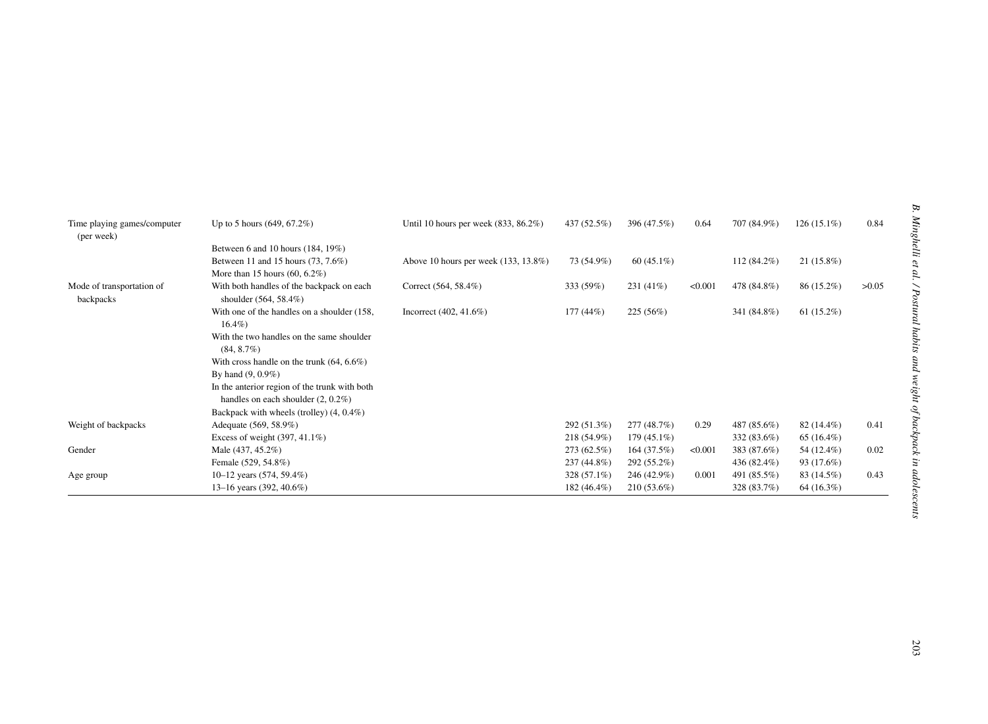| Time playing games/computer<br>(per week) | Up to 5 hours $(649, 67.2\%)$                                      | Until 10 hours per week $(833, 86.2\%)$ | 437 (52.5%) | 396 (47.5%)   | 0.64    | 707 (84.9%) | $126(15.1\%)$ | 0.84  |
|-------------------------------------------|--------------------------------------------------------------------|-----------------------------------------|-------------|---------------|---------|-------------|---------------|-------|
|                                           | Between 6 and 10 hours (184, 19%)                                  |                                         |             |               |         |             |               |       |
|                                           | Between 11 and 15 hours (73, 7.6%)                                 | Above 10 hours per week (133, 13.8%)    | 73 (54.9%)  | 60 $(45.1\%)$ |         | 112 (84.2%) | $21(15.8\%)$  |       |
|                                           | More than 15 hours $(60, 6.2\%)$                                   |                                         |             |               |         |             |               |       |
| Mode of transportation of<br>backpacks    | With both handles of the backpack on each<br>shoulder (564, 58.4%) | Correct (564, 58.4%)                    | 333 (59%)   | 231(41%)      | < 0.001 | 478 (84.8%) | 86 (15.2%)    | >0.05 |
|                                           | With one of the handles on a shoulder (158,<br>$16.4\%$            | Incorrect (402, 41.6%)                  | $177(44\%)$ | 225 (56%)     |         | 341 (84.8%) | 61 $(15.2\%)$ |       |
|                                           | With the two handles on the same shoulder<br>$(84, 8.7\%)$         |                                         |             |               |         |             |               |       |
|                                           | With cross handle on the trunk $(64, 6.6\%)$                       |                                         |             |               |         |             |               |       |
|                                           | By hand (9, 0.9%)                                                  |                                         |             |               |         |             |               |       |
|                                           | In the anterior region of the trunk with both                      |                                         |             |               |         |             |               |       |
|                                           | handles on each shoulder $(2, 0.2\%)$                              |                                         |             |               |         |             |               |       |
|                                           | Backpack with wheels (trolley) (4, 0.4%)                           |                                         |             |               |         |             |               |       |
| Weight of backpacks                       | Adequate (569, 58.9%)                                              |                                         | 292 (51.3%) | 277 (48.7%)   | 0.29    | 487 (85.6%) | 82 (14.4%)    | 0.41  |
|                                           | Excess of weight $(397, 41.1\%)$                                   |                                         | 218 (54.9%) | $179(45.1\%)$ |         | 332 (83.6%) | 65 $(16.4\%)$ |       |
| Gender                                    | Male (437, 45.2%)                                                  |                                         | 273 (62.5%) | 164(37.5%)    | < 0.001 | 383 (87.6%) | 54 (12.4%)    | 0.02  |
|                                           | Female (529, 54.8%)                                                |                                         | 237 (44.8%) | 292 (55.2%)   |         | 436 (82.4%) | 93 (17.6%)    |       |
| Age group                                 | 10-12 years (574, 59.4%)                                           |                                         | 328 (57.1%) | 246 (42.9%)   | 0.001   | 491 (85.5%) | 83 (14.5%)    | 0.43  |
|                                           | 13-16 years (392, 40.6%)                                           |                                         | 182 (46.4%) | $210(53.6\%)$ |         | 328 (83.7%) | 64(16.3%)     |       |
|                                           |                                                                    |                                         |             |               |         |             |               |       |
|                                           |                                                                    |                                         |             |               |         |             |               |       |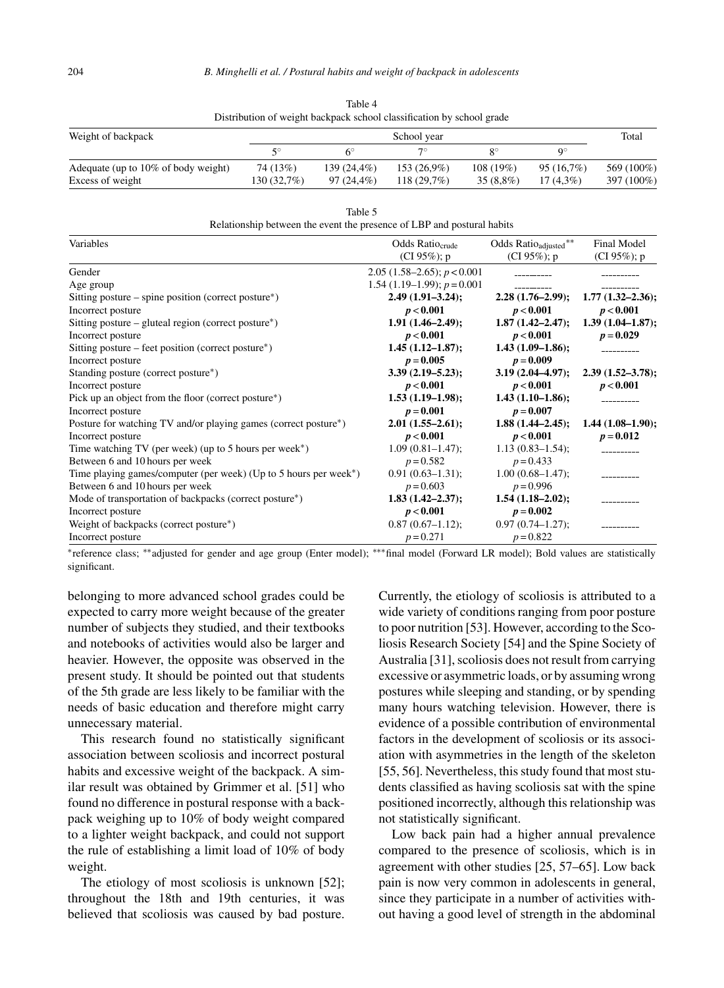| DISHIDUHUH OI WEIGHT DACKDACK SCHOOL CHASSHICAHOH DY SCHOOL GLAUC |             |              |               |             |             |            |  |
|-------------------------------------------------------------------|-------------|--------------|---------------|-------------|-------------|------------|--|
| Weight of backpack                                                |             | Total        |               |             |             |            |  |
|                                                                   | 50          |              |               |             |             |            |  |
| Adequate (up to 10% of body weight)                               | 74 (13%)    | 139 (24.4%)  | $153(26.9\%)$ | 108 (19%)   | 95(16.7%)   | 569 (100%) |  |
| Excess of weight                                                  | 130 (32.7%) | $97(24.4\%)$ | $118(29.7\%)$ | $35(8.8\%)$ | $17(4.3\%)$ | 397 (100%) |  |

Table 4 Distribution of weight backpack school classification by school grade

Table 5

|  |  | Relationship between the event the presence of LBP and postural habits |
|--|--|------------------------------------------------------------------------|
|--|--|------------------------------------------------------------------------|

| Variables                                                                     | Odds Ratio <sub>crude</sub>      | Odds Ratio <sub>adjusted</sub> ** | Final Model          |
|-------------------------------------------------------------------------------|----------------------------------|-----------------------------------|----------------------|
|                                                                               | (CI $95\%$ ); p                  | (CI 95%); $p$                     | (CI 95%); $p$        |
| Gender                                                                        | 2.05 $(1.58-2.65)$ ; $p < 0.001$ |                                   |                      |
| Age group                                                                     | 1.54 $(1.19-1.99)$ ; $p = 0.001$ |                                   |                      |
| Sitting posture – spine position (correct posture*)                           | $2.49(1.91 - 3.24);$             | $2.28(1.76-2.99);$                | $1.77(1.32 - 2.36);$ |
| Incorrect posture                                                             | p < 0.001                        | p < 0.001                         | p < 0.001            |
| Sitting posture – gluteal region (correct posture <sup>*</sup> )              | $1.91(1.46-2.49);$               | $1.87(1.42 - 2.47);$              | $1.39(1.04-1.87);$   |
| Incorrect posture                                                             | p < 0.001                        | p < 0.001                         | $p = 0.029$          |
| Sitting posture – feet position (correct posture*)                            | $1.45(1.12 - 1.87);$             | $1.43(1.09-1.86);$                |                      |
| Incorrect posture                                                             | $p = 0.005$                      | $p = 0.009$                       |                      |
| Standing posture (correct posture*)                                           | $3.39(2.19 - 5.23);$             | $3.19(2.04-4.97);$                | $2.39(1.52 - 3.78);$ |
| Incorrect posture                                                             | p < 0.001                        | p < 0.001                         | p < 0.001            |
| Pick up an object from the floor (correct posture*)                           | $1.53(1.19-1.98);$               | $1.43(1.10-1.86);$                |                      |
| Incorrect posture                                                             | $p = 0.001$                      | $p = 0.007$                       |                      |
| Posture for watching TV and/or playing games (correct posture*)               | $2.01(1.55-2.61);$               | $1.88(1.44 - 2.45);$              | $1.44(1.08-1.90);$   |
| Incorrect posture                                                             | p < 0.001                        | p < 0.001                         | $p = 0.012$          |
| Time watching TV (per week) (up to 5 hours per week*)                         | $1.09(0.81 - 1.47);$             | $1.13(0.83 - 1.54);$              |                      |
| Between 6 and 10 hours per week                                               | $p = 0.582$                      | $p = 0.433$                       |                      |
| Time playing games/computer (per week) (Up to 5 hours per week <sup>*</sup> ) | $0.91(0.63 - 1.31);$             | $1.00(0.68 - 1.47)$ ;             |                      |
| Between 6 and 10 hours per week                                               | $p = 0.603$                      | $p = 0.996$                       |                      |
| Mode of transportation of backpacks (correct posture*)                        | $1.83(1.42 - 2.37);$             | $1.54(1.18-2.02);$                |                      |
| Incorrect posture                                                             | p < 0.001                        | $p = 0.002$                       |                      |
| Weight of backpacks (correct posture*)                                        | $0.87(0.67-1.12);$               | $0.97(0.74 - 1.27);$              |                      |
| Incorrect posture                                                             | $p = 0.271$                      | $p = 0.822$                       |                      |

∗reference class; ∗∗adjusted for gender and age group (Enter model); ∗∗∗final model (Forward LR model); Bold values are statistically significant.

belonging to more advanced school grades could be expected to carry more weight because of the greater number of subjects they studied, and their textbooks and notebooks of activities would also be larger and heavier. However, the opposite was observed in the present study. It should be pointed out that students of the 5th grade are less likely to be familiar with the needs of basic education and therefore might carry unnecessary material.

This research found no statistically significant association between scoliosis and incorrect postural habits and excessive weight of the backpack. A similar result was obtained by Grimmer et al. [51] who found no difference in postural response with a backpack weighing up to 10% of body weight compared to a lighter weight backpack, and could not support the rule of establishing a limit load of 10% of body weight.

The etiology of most scoliosis is unknown [52]; throughout the 18th and 19th centuries, it was believed that scoliosis was caused by bad posture.

Currently, the etiology of scoliosis is attributed to a wide variety of conditions ranging from poor posture to poor nutrition [53]. However, according to the Scoliosis Research Society [54] and the Spine Society of Australia [31], scoliosis does not result from carrying excessive or asymmetric loads, or by assuming wrong postures while sleeping and standing, or by spending many hours watching television. However, there is evidence of a possible contribution of environmental factors in the development of scoliosis or its association with asymmetries in the length of the skeleton [55, 56]. Nevertheless, this study found that most students classified as having scoliosis sat with the spine positioned incorrectly, although this relationship was not statistically significant.

Low back pain had a higher annual prevalence compared to the presence of scoliosis, which is in agreement with other studies [25, 57–65]. Low back pain is now very common in adolescents in general, since they participate in a number of activities without having a good level of strength in the abdominal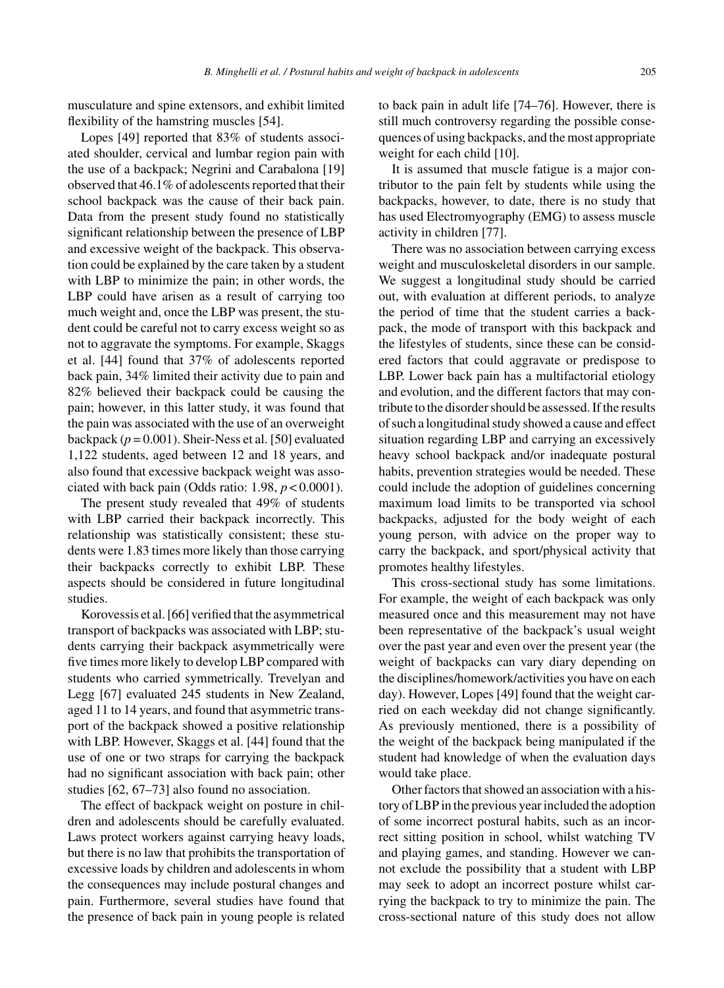musculature and spine extensors, and exhibit limited flexibility of the hamstring muscles [54].

Lopes [49] reported that 83% of students associated shoulder, cervical and lumbar region pain with the use of a backpack; Negrini and Carabalona [19] observed that 46.1% of adolescents reported that their school backpack was the cause of their back pain. Data from the present study found no statistically significant relationship between the presence of LBP and excessive weight of the backpack. This observation could be explained by the care taken by a student with LBP to minimize the pain; in other words, the LBP could have arisen as a result of carrying too much weight and, once the LBP was present, the student could be careful not to carry excess weight so as not to aggravate the symptoms. For example, Skaggs et al. [44] found that 37% of adolescents reported back pain, 34% limited their activity due to pain and 82% believed their backpack could be causing the pain; however, in this latter study, it was found that the pain was associated with the use of an overweight backpack ( $p = 0.001$ ). Sheir-Ness et al. [50] evaluated 1,122 students, aged between 12 and 18 years, and also found that excessive backpack weight was associated with back pain (Odds ratio:  $1.98$ ,  $p < 0.0001$ ).

The present study revealed that 49% of students with LBP carried their backpack incorrectly. This relationship was statistically consistent; these students were 1.83 times more likely than those carrying their backpacks correctly to exhibit LBP. These aspects should be considered in future longitudinal studies.

Korovessis et al. [66] verified that the asymmetrical transport of backpacks was associated with LBP; students carrying their backpack asymmetrically were five times more likely to develop LBP compared with students who carried symmetrically. Trevelyan and Legg [67] evaluated 245 students in New Zealand, aged 11 to 14 years, and found that asymmetric transport of the backpack showed a positive relationship with LBP. However, Skaggs et al. [44] found that the use of one or two straps for carrying the backpack had no significant association with back pain; other studies [62, 67–73] also found no association.

The effect of backpack weight on posture in children and adolescents should be carefully evaluated. Laws protect workers against carrying heavy loads, but there is no law that prohibits the transportation of excessive loads by children and adolescents in whom the consequences may include postural changes and pain. Furthermore, several studies have found that the presence of back pain in young people is related

to back pain in adult life [74–76]. However, there is still much controversy regarding the possible consequences of using backpacks, and the most appropriate weight for each child [10].

It is assumed that muscle fatigue is a major contributor to the pain felt by students while using the backpacks, however, to date, there is no study that has used Electromyography (EMG) to assess muscle activity in children [77].

There was no association between carrying excess weight and musculoskeletal disorders in our sample. We suggest a longitudinal study should be carried out, with evaluation at different periods, to analyze the period of time that the student carries a backpack, the mode of transport with this backpack and the lifestyles of students, since these can be considered factors that could aggravate or predispose to LBP. Lower back pain has a multifactorial etiology and evolution, and the different factors that may contribute to the disorder should be assessed. If the results of such a longitudinal study showed a cause and effect situation regarding LBP and carrying an excessively heavy school backpack and/or inadequate postural habits, prevention strategies would be needed. These could include the adoption of guidelines concerning maximum load limits to be transported via school backpacks, adjusted for the body weight of each young person, with advice on the proper way to carry the backpack, and sport/physical activity that promotes healthy lifestyles.

This cross-sectional study has some limitations. For example, the weight of each backpack was only measured once and this measurement may not have been representative of the backpack's usual weight over the past year and even over the present year (the weight of backpacks can vary diary depending on the disciplines/homework/activities you have on each day). However, Lopes [49] found that the weight carried on each weekday did not change significantly. As previously mentioned, there is a possibility of the weight of the backpack being manipulated if the student had knowledge of when the evaluation days would take place.

Other factors that showed an association with a history of LBP in the previous year included the adoption of some incorrect postural habits, such as an incorrect sitting position in school, whilst watching TV and playing games, and standing. However we cannot exclude the possibility that a student with LBP may seek to adopt an incorrect posture whilst carrying the backpack to try to minimize the pain. The cross-sectional nature of this study does not allow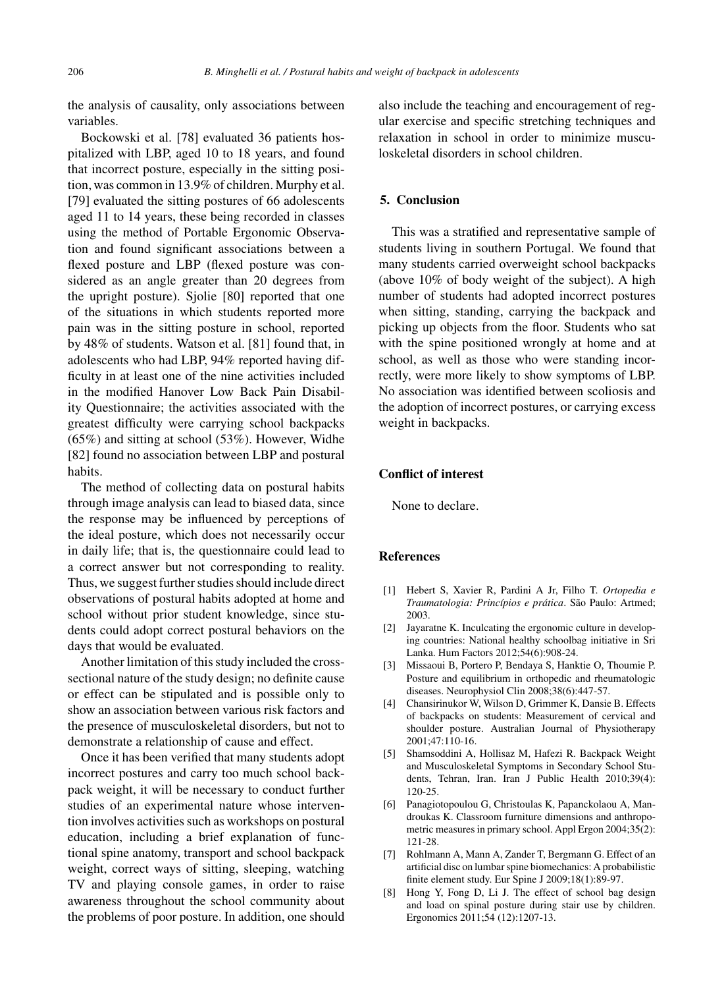the analysis of causality, only associations between variables.

Bockowski et al. [78] evaluated 36 patients hospitalized with LBP, aged 10 to 18 years, and found that incorrect posture, especially in the sitting position, was common in 13.9% of children. Murphy et al. [79] evaluated the sitting postures of 66 adolescents aged 11 to 14 years, these being recorded in classes using the method of Portable Ergonomic Observation and found significant associations between a flexed posture and LBP (flexed posture was considered as an angle greater than 20 degrees from the upright posture). Sjolie [80] reported that one of the situations in which students reported more pain was in the sitting posture in school, reported by 48% of students. Watson et al. [81] found that, in adolescents who had LBP, 94% reported having difficulty in at least one of the nine activities included in the modified Hanover Low Back Pain Disability Questionnaire; the activities associated with the greatest difficulty were carrying school backpacks (65%) and sitting at school (53%). However, Widhe [82] found no association between LBP and postural habits.

The method of collecting data on postural habits through image analysis can lead to biased data, since the response may be influenced by perceptions of the ideal posture, which does not necessarily occur in daily life; that is, the questionnaire could lead to a correct answer but not corresponding to reality. Thus, we suggest further studies should include direct observations of postural habits adopted at home and school without prior student knowledge, since students could adopt correct postural behaviors on the days that would be evaluated.

Another limitation of this study included the crosssectional nature of the study design; no definite cause or effect can be stipulated and is possible only to show an association between various risk factors and the presence of musculoskeletal disorders, but not to demonstrate a relationship of cause and effect.

Once it has been verified that many students adopt incorrect postures and carry too much school backpack weight, it will be necessary to conduct further studies of an experimental nature whose intervention involves activities such as workshops on postural education, including a brief explanation of functional spine anatomy, transport and school backpack weight, correct ways of sitting, sleeping, watching TV and playing console games, in order to raise awareness throughout the school community about the problems of poor posture. In addition, one should

also include the teaching and encouragement of regular exercise and specific stretching techniques and relaxation in school in order to minimize musculoskeletal disorders in school children.

# **5. Conclusion**

This was a stratified and representative sample of students living in southern Portugal. We found that many students carried overweight school backpacks (above 10% of body weight of the subject). A high number of students had adopted incorrect postures when sitting, standing, carrying the backpack and picking up objects from the floor. Students who sat with the spine positioned wrongly at home and at school, as well as those who were standing incorrectly, were more likely to show symptoms of LBP. No association was identified between scoliosis and the adoption of incorrect postures, or carrying excess weight in backpacks.

# **Conflict of interest**

None to declare.

### **References**

- [1] Hebert S, Xavier R, Pardini A Jr, Filho T. *Ortopedia e Traumatologia: Princ´ıpios e pr ´atica*. Sao Paulo: Artmed; ˜ 2003.
- [2] Jayaratne K. Inculcating the ergonomic culture in developing countries: National healthy schoolbag initiative in Sri Lanka. Hum Factors 2012;54(6):908-24.
- [3] Missaoui B, Portero P, Bendaya S, Hanktie O, Thoumie P. Posture and equilibrium in orthopedic and rheumatologic diseases. Neurophysiol Clin 2008;38(6):447-57.
- [4] Chansirinukor W, Wilson D, Grimmer K, Dansie B. Effects of backpacks on students: Measurement of cervical and shoulder posture. Australian Journal of Physiotherapy 2001;47:110-16.
- [5] Shamsoddini A, Hollisaz M, Hafezi R. Backpack Weight and Musculoskeletal Symptoms in Secondary School Students, Tehran, Iran. Iran J Public Health 2010;39(4): 120-25.
- [6] Panagiotopoulou G, Christoulas K, Papanckolaou A, Mandroukas K. Classroom furniture dimensions and anthropometric measures in primary school. Appl Ergon 2004;35(2): 121-28.
- [7] Rohlmann A, Mann A, Zander T, Bergmann G. Effect of an artificial disc on lumbar spine biomechanics: A probabilistic finite element study. Eur Spine J 2009;18(1):89-97.
- [8] Hong Y, Fong D, Li J. The effect of school bag design and load on spinal posture during stair use by children. Ergonomics 2011;54 (12):1207-13.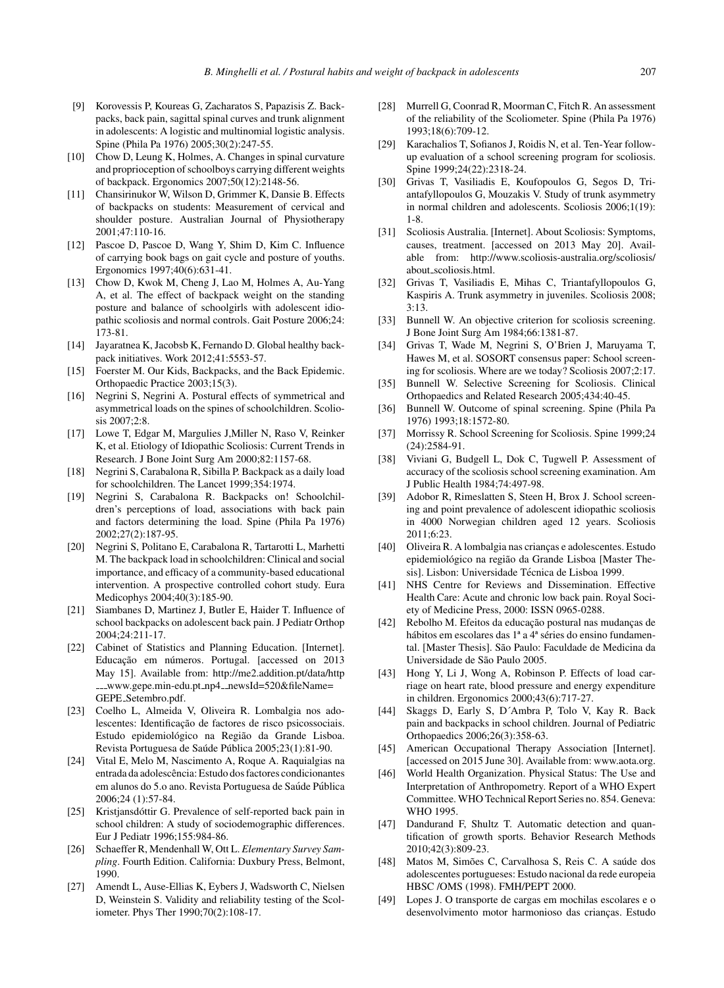- [9] Korovessis P, Koureas G, Zacharatos S, Papazisis Z. Backpacks, back pain, sagittal spinal curves and trunk alignment in adolescents: A logistic and multinomial logistic analysis. Spine (Phila Pa 1976) 2005;30(2):247-55.
- [10] Chow D, Leung K, Holmes, A. Changes in spinal curvature and proprioception of schoolboys carrying different weights of backpack. Ergonomics 2007;50(12):2148-56.
- [11] Chansirinukor W, Wilson D, Grimmer K, Dansie B. Effects of backpacks on students: Measurement of cervical and shoulder posture. Australian Journal of Physiotherapy 2001;47:110-16.
- [12] Pascoe D, Pascoe D, Wang Y, Shim D, Kim C. Influence of carrying book bags on gait cycle and posture of youths. Ergonomics 1997;40(6):631-41.
- [13] Chow D, Kwok M, Cheng J, Lao M, Holmes A, Au-Yang A, et al. The effect of backpack weight on the standing posture and balance of schoolgirls with adolescent idiopathic scoliosis and normal controls. Gait Posture 2006;24: 173-81.
- [14] Jayaratnea K, Jacobsb K, Fernando D. Global healthy backpack initiatives. Work 2012;41:5553-57.
- [15] Foerster M. Our Kids, Backpacks, and the Back Epidemic. Orthopaedic Practice 2003;15(3).
- [16] Negrini S, Negrini A. Postural effects of symmetrical and asymmetrical loads on the spines of schoolchildren. Scoliosis 2007;2:8.
- [17] Lowe T, Edgar M, Margulies J, Miller N, Raso V, Reinker K, et al. Etiology of Idiopathic Scoliosis: Current Trends in Research. J Bone Joint Surg Am 2000;82:1157-68.
- [18] Negrini S, Carabalona R, Sibilla P. Backpack as a daily load for schoolchildren. The Lancet 1999;354:1974.
- [19] Negrini S, Carabalona R. Backpacks on! Schoolchildren's perceptions of load, associations with back pain and factors determining the load. Spine (Phila Pa 1976) 2002;27(2):187-95.
- [20] Negrini S, Politano E, Carabalona R, Tartarotti L, Marhetti M. The backpack load in schoolchildren: Clinical and social importance, and efficacy of a community-based educational intervention. A prospective controlled cohort study. Eura Medicophys 2004;40(3):185-90.
- [21] Siambanes D, Martinez J, Butler E, Haider T. Influence of school backpacks on adolescent back pain. J Pediatr Orthop 2004;24:211-17.
- [22] Cabinet of Statistics and Planning Education. [Internet]. Educação em números. Portugal. [accessed on 2013 May 15]. Available from: [http://me2.addition.pt/data/http](http://me2.addition.pt/data/http___www.gepe.min-edu.pt_np4__newsId=520&fileName=GEPE_Setembro.pdf) \_\_www.gepe.min-edu.pt\_np4\_[newsId=520&fileName=](http://me2.addition.pt/data/http___www.gepe.min-edu.pt_np4__newsId=520&fileName=GEPE_Setembro.pdf) GEPE [Setembro.pdf.](http://me2.addition.pt/data/http___www.gepe.min-edu.pt_np4__newsId=520&fileName=GEPE_Setembro.pdf)
- [23] Coelho L, Almeida V, Oliveira R. Lombalgia nos adolescentes: Identificação de factores de risco psicossociais. Estudo epidemiológico na Região da Grande Lisboa. Revista Portuguesa de Saúde Pública 2005;23(1):81-90.
- [24] Vital E, Melo M, Nascimento A, Roque A. Raquialgias na entrada da adolescência: Estudo dos factores condicionantes em alunos do 5.0 ano. Revista Portuguesa de Saúde Pública 2006;24 (1):57-84.
- [25] Kristjansdóttir G. Prevalence of self-reported back pain in school children: A study of sociodemographic differences. Eur J Pediatr 1996;155:984-86.
- [26] Schaeffer R, Mendenhall W, Ott L. *Elementary Survey Sampling*. Fourth Edition. California: Duxbury Press, Belmont, 1990.
- [27] Amendt L, Ause-Ellias K, Eybers J, Wadsworth C, Nielsen D, Weinstein S. Validity and reliability testing of the Scoliometer. Phys Ther 1990;70(2):108-17.
- [28] Murrell G, Coonrad R, Moorman C, Fitch R. An assessment of the reliability of the Scoliometer. Spine (Phila Pa 1976) 1993;18(6):709-12.
- [29] Karachalios T, Sofianos J, Roidis N, et al. Ten-Year followup evaluation of a school screening program for scoliosis. Spine 1999;24(22):2318-24.
- [30] Grivas T, Vasiliadis E, Koufopoulos G, Segos D, Triantafyllopoulos G, Mouzakis V. Study of trunk asymmetry in normal children and adolescents. Scoliosis 2006;1(19): 1-8.
- [31] Scoliosis Australia. [Internet]. About Scoliosis: Symptoms, causes, treatment. [accessed on 2013 May 20]. Available from: [http://www.scoliosis-australia.org/scoliosis/](http://www.scoliosis-australia.org/scoliosis/about_scoliosis.html) about [scoliosis.html](http://www.scoliosis-australia.org/scoliosis/about_scoliosis.html).
- [32] Grivas T, Vasiliadis E, Mihas C, Triantafyllopoulos G, Kaspiris A. Trunk asymmetry in juveniles. Scoliosis 2008; 3:13.
- [33] Bunnell W. An objective criterion for scoliosis screening. J Bone Joint Surg Am 1984;66:1381-87.
- [34] Grivas T, Wade M, Negrini S, O'Brien J, Maruyama T, Hawes M, et al. SOSORT consensus paper: School screening for scoliosis. Where are we today? Scoliosis 2007;2:17.
- [35] Bunnell W. Selective Screening for Scoliosis. Clinical Orthopaedics and Related Research 2005;434:40-45.
- [36] Bunnell W. Outcome of spinal screening. Spine (Phila Pa 1976) 1993;18:1572-80.
- [37] Morrissy R. School Screening for Scoliosis. Spine 1999;24 (24):2584-91.
- [38] Viviani G, Budgell L, Dok C, Tugwell P. Assessment of accuracy of the scoliosis school screening examination. Am J Public Health 1984;74:497-98.
- Adobor R, Rimeslatten S, Steen H, Brox J. School screening and point prevalence of adolescent idiopathic scoliosis in 4000 Norwegian children aged 12 years. Scoliosis 2011;6:23.
- [40] Oliveira R. A lombalgia nas crianças e adolescentes. Estudo epidemiológico na região da Grande Lisboa [Master Thesis]. Lisbon: Universidade Técnica de Lisboa 1999.
- [41] NHS Centre for Reviews and Dissemination. Effective Health Care: Acute and chronic low back pain. Royal Society of Medicine Press, 2000: ISSN 0965-0288.
- [42] Rebolho M. Efeitos da educação postural nas mudanças de hábitos em escolares das 1ª a 4ª séries do ensino fundamental. [Master Thesis]. São Paulo: Faculdade de Medicina da Universidade de São Paulo 2005.
- [43] Hong Y, Li J, Wong A, Robinson P. Effects of load carriage on heart rate, blood pressure and energy expenditure in children. Ergonomics 2000;43(6):717-27.
- [44] Skaggs D, Early S, D´Ambra P, Tolo V, Kay R. Back pain and backpacks in school children. Journal of Pediatric Orthopaedics 2006;26(3):358-63.
- [45] American Occupational Therapy Association [Internet]. [accessed on 2015 June 30]. Available from:<www.aota.org>.
- [46] World Health Organization. Physical Status: The Use and Interpretation of Anthropometry. Report of a WHO Expert Committee. WHO Technical Report Series no. 854. Geneva: WHO 1995.
- [47] Dandurand F, Shultz T. Automatic detection and quantification of growth sports. Behavior Research Methods 2010;42(3):809-23.
- [48] Matos M, Simões C, Carvalhosa S, Reis C. A saúde dos adolescentes portugueses: Estudo nacional da rede europeia HBSC /OMS (1998). FMH/PEPT 2000.
- [49] Lopes J. O transporte de cargas em mochilas escolares e o desenvolvimento motor harmonioso das crianças. Estudo